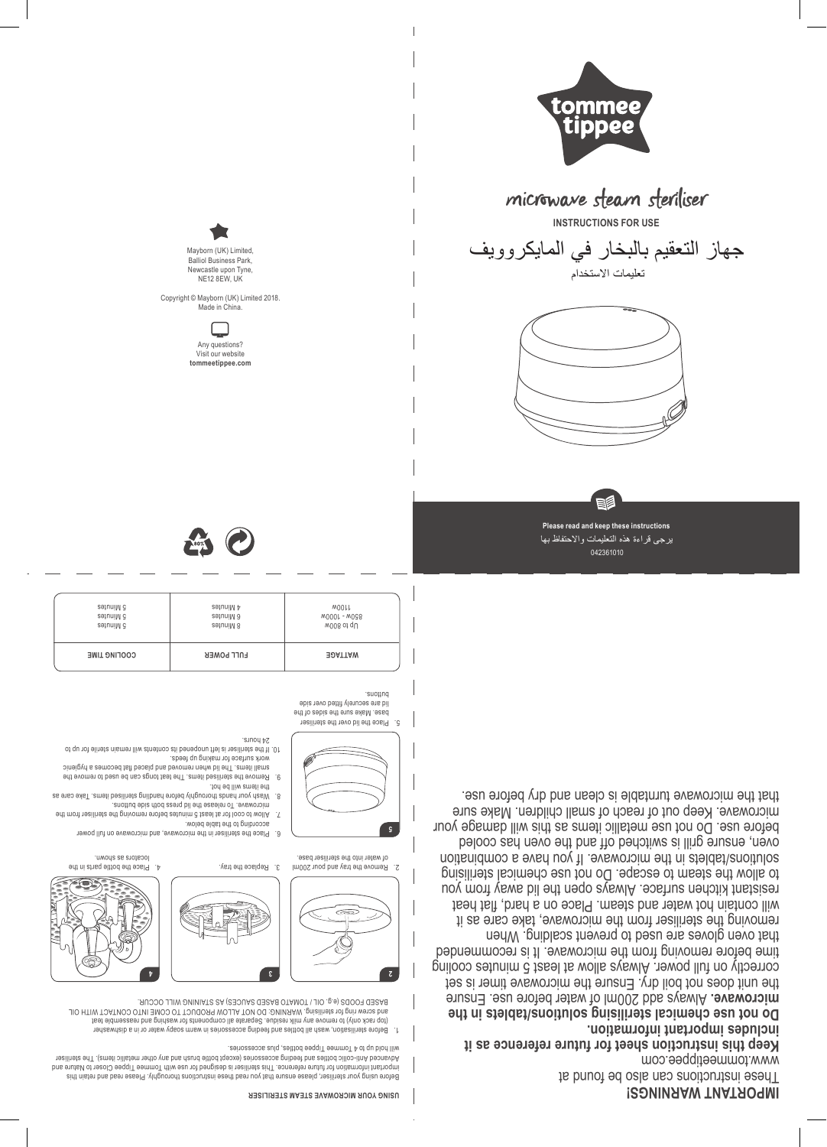## **IMPORTANT WARNINGS!**

These instructions can also be found at

www.tommee.com **Keep this instruction sheet for future reference as it** 

**includes important information. Do not use chemical sterilising solutions/tablets in the**  Always add 200ml of water before use. Ensure **microwave.** 

the unit does not boil dry. Ensure the microwave timer is set correctly on full power. Always allow at least 5 minutes cooling time before removing from the microwave. It is recommended that oven gloves are used to prevent scalding. When removing the steriliser from the microwave, take care as it will contain hot water and steam. Place on a hard, flat heat resistant kitchen surface. Always open the lid away from you to allow the steam to escape. Do not use chemical sterilising solutions/tablets in the microwave. If you have a combination oven, ensure grill is switched off and the oven has cooled before use. Do not use metallic items as this will damage your microwave. Keep out of reach of small children. Make sure that the microwave turntable is clean and dry before use.



042361010 يرجى قراءة هذه التعليمات واالحتفاظ بها





جهاز التعقيم بالبخار في المايكروويف تعليمات االستخدام

**INSTRUCTIONS FOR USE**





## **USING YOUR MICROWAVE STEAM STERILISER**

Before using your steriliser, please ensure that you read these instructions thoroughly. Please read and retain this bns ənufsil ot təzolC) əəqqiT əəmmoT diiw əsu tot bəngizəb si təzilitələ airlT .əonətəfət ənufut tot noifamrotni thathoqmi<br>həsilitətə ahti .(aməti oillistəm tərito yna bins dəttəqt bola fərqədə bay ottura ilə Tipistən oill will hold up to 4 Tommee Tippee bottles, plus accessories.

Before sterilisation, wash all bottles and feeding accessories in warm soapy water or in a dishwasher 1. (top rack only) to remove any milk residue. Separate all components for washing and reassemble teat and screw ring for sterilising. WARNING: DO NOT ALLOW PRODUCT TO COME INTO CONTACT WITH OIL BASED FOODS (e.g. OIL / TOMATO BASED SAUCES) AS STAINING WILL OCCUR.



Remove the tray and pour 200ml 2. of water into the steriliser base.  $\mathcal{S}$ . Replace the tray.  $\mathcal{S}$ 

Place the steriliser in the microwave, and microwave on full power 6. according to the table below.

locators as shown.

- Allow to cool for at least 5 minutes before removing the steriliser from the 7. microwave. To release the lid press both side buttons.
- Wash your hands thoroughly before handling sterilised items. Take care as 8. the items will be hot.
- Beth stering the sterilised items. The sterilised to remove the 9.000 model of  $\alpha$ . small items. The lid when removed and placed fiat becomes a hygienic work surface for making up feeds.
- If the steriliser is left unopened its contents will remain sterile for up to 10. 24 hours.

Place the lid over the steriliser 5. base. Make sure the sides of the lid are securely fitted over side suottuo.

**5**

| 5 Minutes           | 4 Minutes         | WOOLL          |
|---------------------|-------------------|----------------|
| 5 Minutes           | 6 Minutes         | M0001 - W098   |
| 5 Minutes           | 8 Minutes         | w008 of qU     |
| <b>COOFING LINE</b> | <b>LNFF LOMEK</b> | <b>EDATTAW</b> |





Newcastle upon Tyne, NE12 8EW, UK Copyright © Mayborn (UK) Limited 2018.

Made in China.

Any questions? Visit our website **tommeetippee.com**

└

Mayborn (UK) Limited, Balliol Business Park,